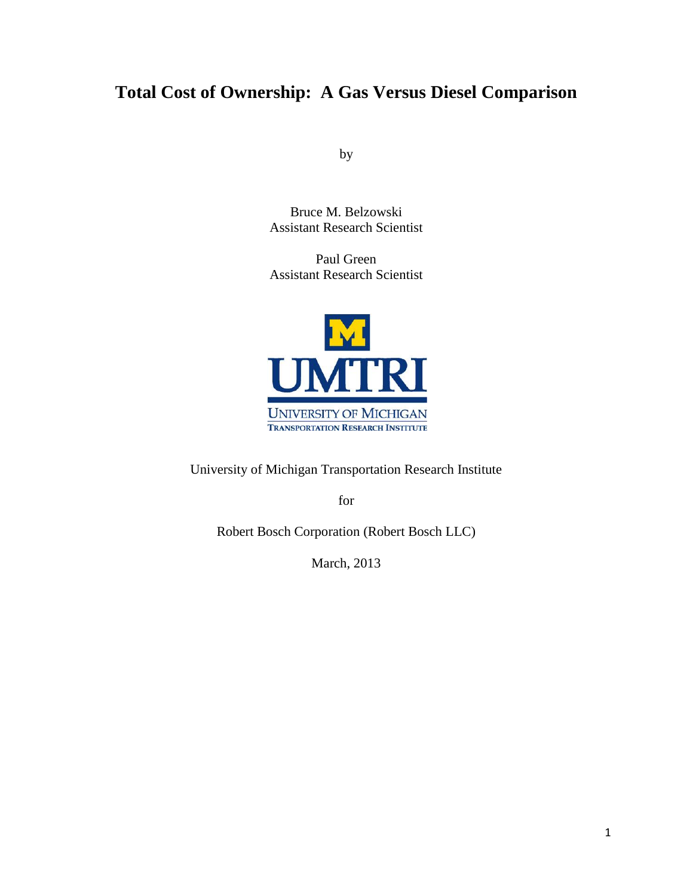# **Total Cost of Ownership: A Gas Versus Diesel Comparison**

by

Bruce M. Belzowski Assistant Research Scientist

Paul Green Assistant Research Scientist



University of Michigan Transportation Research Institute

for

Robert Bosch Corporation (Robert Bosch LLC)

March, 2013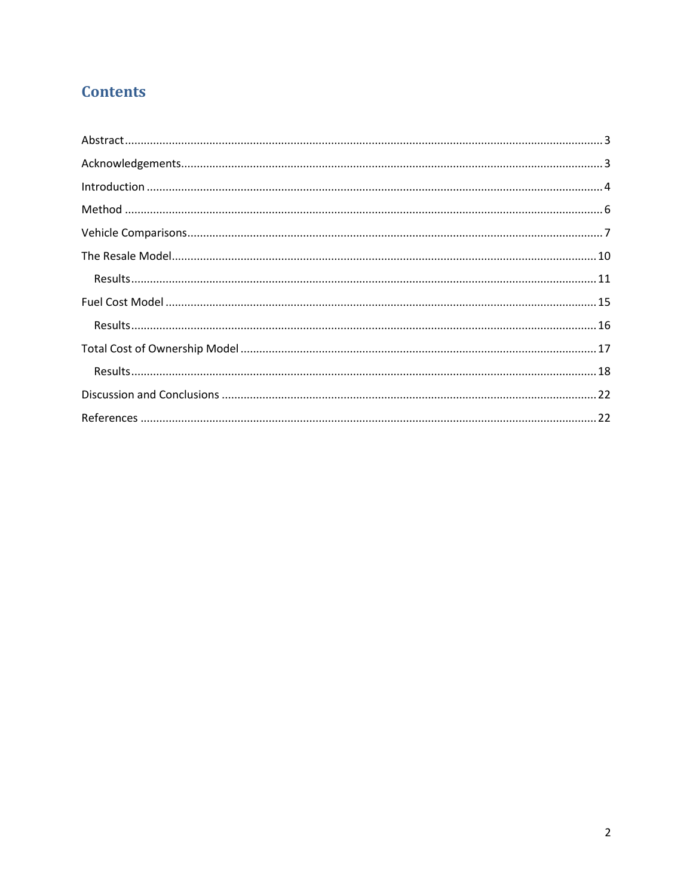## **Contents**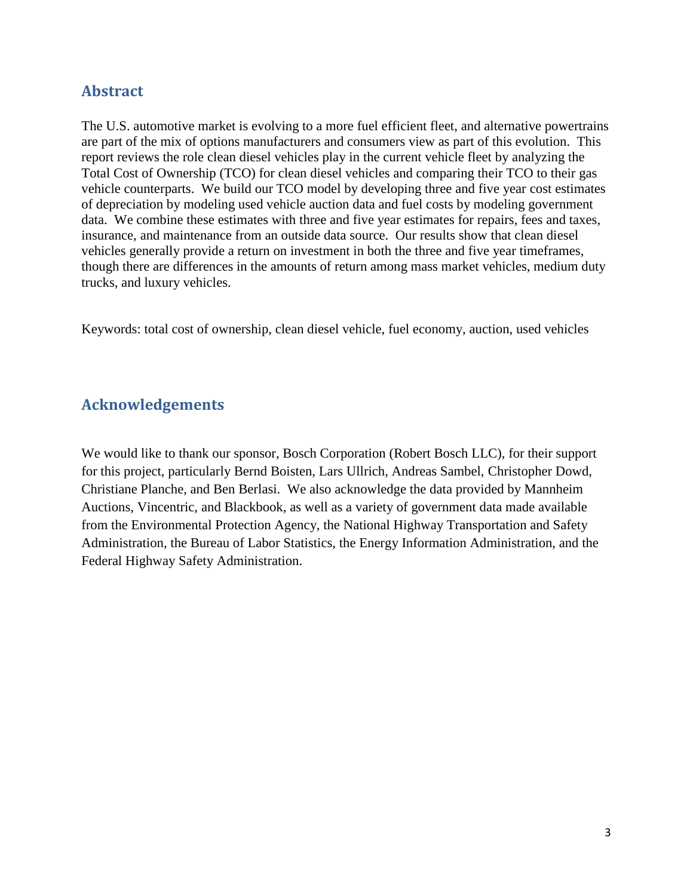### <span id="page-2-0"></span>**Abstract**

The U.S. automotive market is evolving to a more fuel efficient fleet, and alternative powertrains are part of the mix of options manufacturers and consumers view as part of this evolution. This report reviews the role clean diesel vehicles play in the current vehicle fleet by analyzing the Total Cost of Ownership (TCO) for clean diesel vehicles and comparing their TCO to their gas vehicle counterparts. We build our TCO model by developing three and five year cost estimates of depreciation by modeling used vehicle auction data and fuel costs by modeling government data. We combine these estimates with three and five year estimates for repairs, fees and taxes, insurance, and maintenance from an outside data source. Our results show that clean diesel vehicles generally provide a return on investment in both the three and five year timeframes, though there are differences in the amounts of return among mass market vehicles, medium duty trucks, and luxury vehicles.

Keywords: total cost of ownership, clean diesel vehicle, fuel economy, auction, used vehicles

## <span id="page-2-1"></span>**Acknowledgements**

We would like to thank our sponsor, Bosch Corporation (Robert Bosch LLC), for their support for this project, particularly Bernd Boisten, Lars Ullrich, Andreas Sambel, Christopher Dowd, Christiane Planche, and Ben Berlasi. We also acknowledge the data provided by Mannheim Auctions, Vincentric, and Blackbook, as well as a variety of government data made available from the Environmental Protection Agency, the National Highway Transportation and Safety Administration, the Bureau of Labor Statistics, the Energy Information Administration, and the Federal Highway Safety Administration.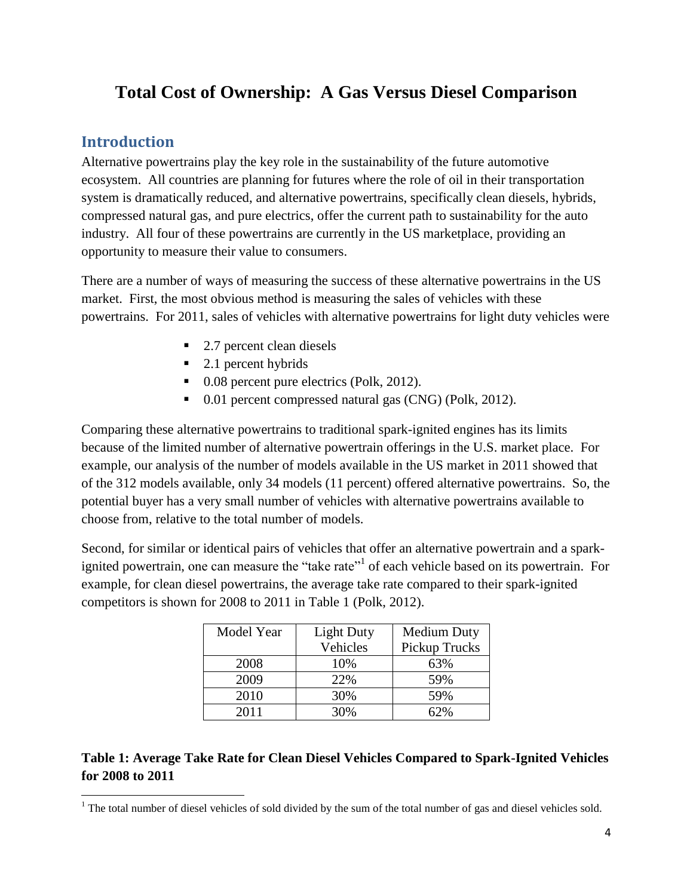# **Total Cost of Ownership: A Gas Versus Diesel Comparison**

## <span id="page-3-0"></span>**Introduction**

Alternative powertrains play the key role in the sustainability of the future automotive ecosystem. All countries are planning for futures where the role of oil in their transportation system is dramatically reduced, and alternative powertrains, specifically clean diesels, hybrids, compressed natural gas, and pure electrics, offer the current path to sustainability for the auto industry. All four of these powertrains are currently in the US marketplace, providing an opportunity to measure their value to consumers.

There are a number of ways of measuring the success of these alternative powertrains in the US market. First, the most obvious method is measuring the sales of vehicles with these powertrains. For 2011, sales of vehicles with alternative powertrains for light duty vehicles were

- 2.7 percent clean diesels
- $\blacksquare$  2.1 percent hybrids
- $\blacksquare$  0.08 percent pure electrics (Polk, 2012).
- 0.01 percent compressed natural gas (CNG) (Polk, 2012).

Comparing these alternative powertrains to traditional spark-ignited engines has its limits because of the limited number of alternative powertrain offerings in the U.S. market place. For example, our analysis of the number of models available in the US market in 2011 showed that of the 312 models available, only 34 models (11 percent) offered alternative powertrains. So, the potential buyer has a very small number of vehicles with alternative powertrains available to choose from, relative to the total number of models.

Second, for similar or identical pairs of vehicles that offer an alternative powertrain and a sparkignited powertrain, one can measure the "take rate"<sup>1</sup> of each vehicle based on its powertrain. For example, for clean diesel powertrains, the average take rate compared to their spark-ignited competitors is shown for 2008 to 2011 in Table 1 (Polk, 2012).

| Model Year | <b>Light Duty</b> | <b>Medium Duty</b> |  |  |
|------------|-------------------|--------------------|--|--|
|            | Vehicles          | Pickup Trucks      |  |  |
| 2008       | 10%               | 63%                |  |  |
| 2009       | 22%               | 59%                |  |  |
| 2010       | 30%               | 59%                |  |  |
| 2011       | 30%               | 62%                |  |  |

#### **Table 1: Average Take Rate for Clean Diesel Vehicles Compared to Spark-Ignited Vehicles for 2008 to 2011**

 $\overline{\phantom{a}}$  $1$  The total number of diesel vehicles of sold divided by the sum of the total number of gas and diesel vehicles sold.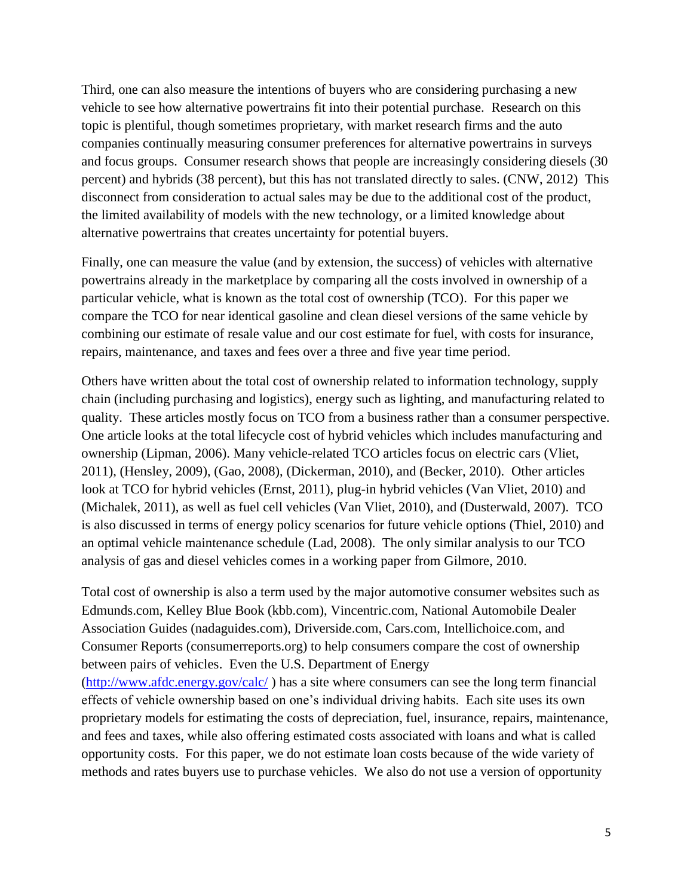Third, one can also measure the intentions of buyers who are considering purchasing a new vehicle to see how alternative powertrains fit into their potential purchase. Research on this topic is plentiful, though sometimes proprietary, with market research firms and the auto companies continually measuring consumer preferences for alternative powertrains in surveys and focus groups. Consumer research shows that people are increasingly considering diesels (30 percent) and hybrids (38 percent), but this has not translated directly to sales. (CNW, 2012) This disconnect from consideration to actual sales may be due to the additional cost of the product, the limited availability of models with the new technology, or a limited knowledge about alternative powertrains that creates uncertainty for potential buyers.

Finally, one can measure the value (and by extension, the success) of vehicles with alternative powertrains already in the marketplace by comparing all the costs involved in ownership of a particular vehicle, what is known as the total cost of ownership (TCO). For this paper we compare the TCO for near identical gasoline and clean diesel versions of the same vehicle by combining our estimate of resale value and our cost estimate for fuel, with costs for insurance, repairs, maintenance, and taxes and fees over a three and five year time period.

Others have written about the total cost of ownership related to information technology, supply chain (including purchasing and logistics), energy such as lighting, and manufacturing related to quality. These articles mostly focus on TCO from a business rather than a consumer perspective. One article looks at the total lifecycle cost of hybrid vehicles which includes manufacturing and ownership (Lipman, 2006). Many vehicle-related TCO articles focus on electric cars (Vliet, 2011), (Hensley, 2009), (Gao, 2008), (Dickerman, 2010), and (Becker, 2010). Other articles look at TCO for hybrid vehicles (Ernst, 2011), plug-in hybrid vehicles (Van Vliet, 2010) and (Michalek, 2011), as well as fuel cell vehicles (Van Vliet, 2010), and (Dusterwald, 2007). TCO is also discussed in terms of energy policy scenarios for future vehicle options (Thiel, 2010) and an optimal vehicle maintenance schedule (Lad, 2008). The only similar analysis to our TCO analysis of gas and diesel vehicles comes in a working paper from Gilmore, 2010.

Total cost of ownership is also a term used by the major automotive consumer websites such as Edmunds.com, Kelley Blue Book (kbb.com), Vincentric.com, National Automobile Dealer Association Guides (nadaguides.com), Driverside.com, Cars.com, Intellichoice.com, and Consumer Reports (consumerreports.org) to help consumers compare the cost of ownership between pairs of vehicles. Even the U.S. Department of Energy [\(http://www.afdc.energy.gov/calc/](http://www.afdc.energy.gov/calc/) ) has a site where consumers can see the long term financial effects of vehicle ownership based on one's individual driving habits. Each site uses its own proprietary models for estimating the costs of depreciation, fuel, insurance, repairs, maintenance, and fees and taxes, while also offering estimated costs associated with loans and what is called opportunity costs. For this paper, we do not estimate loan costs because of the wide variety of methods and rates buyers use to purchase vehicles. We also do not use a version of opportunity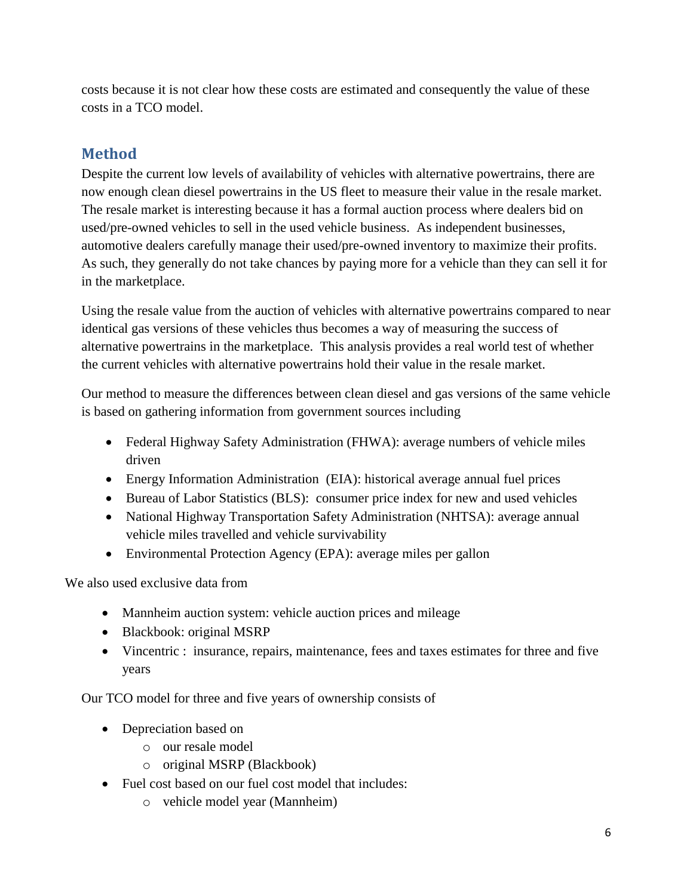costs because it is not clear how these costs are estimated and consequently the value of these costs in a TCO model.

## <span id="page-5-0"></span>**Method**

Despite the current low levels of availability of vehicles with alternative powertrains, there are now enough clean diesel powertrains in the US fleet to measure their value in the resale market. The resale market is interesting because it has a formal auction process where dealers bid on used/pre-owned vehicles to sell in the used vehicle business. As independent businesses, automotive dealers carefully manage their used/pre-owned inventory to maximize their profits. As such, they generally do not take chances by paying more for a vehicle than they can sell it for in the marketplace.

Using the resale value from the auction of vehicles with alternative powertrains compared to near identical gas versions of these vehicles thus becomes a way of measuring the success of alternative powertrains in the marketplace. This analysis provides a real world test of whether the current vehicles with alternative powertrains hold their value in the resale market.

Our method to measure the differences between clean diesel and gas versions of the same vehicle is based on gathering information from government sources including

- Federal Highway Safety Administration (FHWA): average numbers of vehicle miles driven
- Energy Information Administration (EIA): historical average annual fuel prices
- Bureau of Labor Statistics (BLS): consumer price index for new and used vehicles
- National Highway Transportation Safety Administration (NHTSA): average annual vehicle miles travelled and vehicle survivability
- Environmental Protection Agency (EPA): average miles per gallon

We also used exclusive data from

- Mannheim auction system: vehicle auction prices and mileage
- Blackbook: original MSRP
- Vincentric : insurance, repairs, maintenance, fees and taxes estimates for three and five years

Our TCO model for three and five years of ownership consists of

- Depreciation based on
	- o our resale model
	- o original MSRP (Blackbook)
- Fuel cost based on our fuel cost model that includes:
	- o vehicle model year (Mannheim)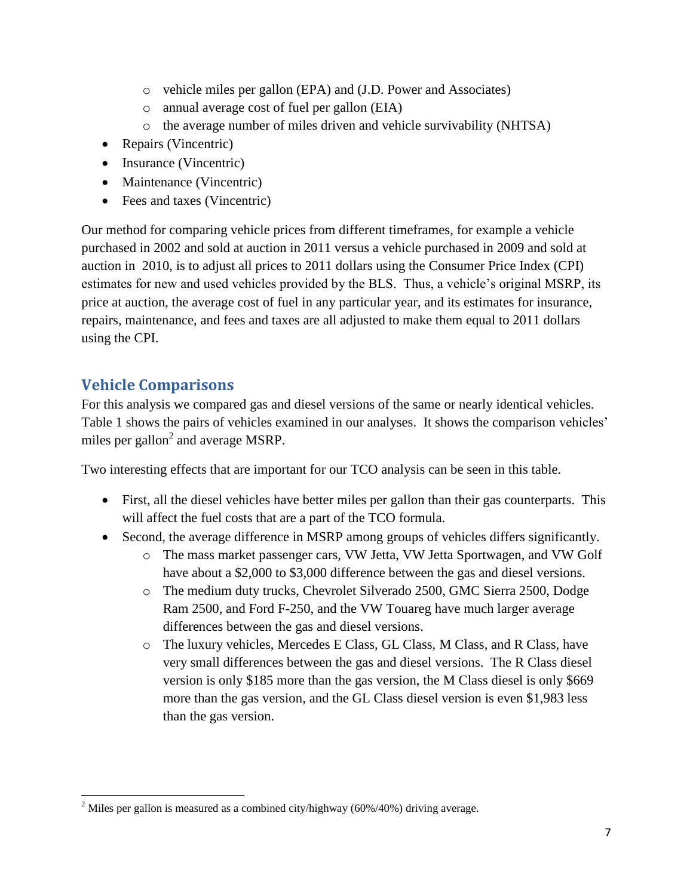- o vehicle miles per gallon (EPA) and (J.D. Power and Associates)
- o annual average cost of fuel per gallon (EIA)
- o the average number of miles driven and vehicle survivability (NHTSA)
- Repairs (Vincentric)
- Insurance (Vincentric)
- Maintenance (Vincentric)
- Fees and taxes (Vincentric)

Our method for comparing vehicle prices from different timeframes, for example a vehicle purchased in 2002 and sold at auction in 2011 versus a vehicle purchased in 2009 and sold at auction in 2010, is to adjust all prices to 2011 dollars using the Consumer Price Index (CPI) estimates for new and used vehicles provided by the BLS. Thus, a vehicle's original MSRP, its price at auction, the average cost of fuel in any particular year, and its estimates for insurance, repairs, maintenance, and fees and taxes are all adjusted to make them equal to 2011 dollars using the CPI.

## <span id="page-6-0"></span>**Vehicle Comparisons**

For this analysis we compared gas and diesel versions of the same or nearly identical vehicles. Table 1 shows the pairs of vehicles examined in our analyses. It shows the comparison vehicles' miles per gallon<sup>2</sup> and average MSRP.

Two interesting effects that are important for our TCO analysis can be seen in this table.

- First, all the diesel vehicles have better miles per gallon than their gas counterparts. This will affect the fuel costs that are a part of the TCO formula.
- Second, the average difference in MSRP among groups of vehicles differs significantly.
	- o The mass market passenger cars, VW Jetta, VW Jetta Sportwagen, and VW Golf have about a \$2,000 to \$3,000 difference between the gas and diesel versions.
	- o The medium duty trucks, Chevrolet Silverado 2500, GMC Sierra 2500, Dodge Ram 2500, and Ford F-250, and the VW Touareg have much larger average differences between the gas and diesel versions.
	- o The luxury vehicles, Mercedes E Class, GL Class, M Class, and R Class, have very small differences between the gas and diesel versions. The R Class diesel version is only \$185 more than the gas version, the M Class diesel is only \$669 more than the gas version, and the GL Class diesel version is even \$1,983 less than the gas version.

 $\overline{\phantom{a}}$ <sup>2</sup> Miles per gallon is measured as a combined city/highway ( $60\%/40\%$ ) driving average.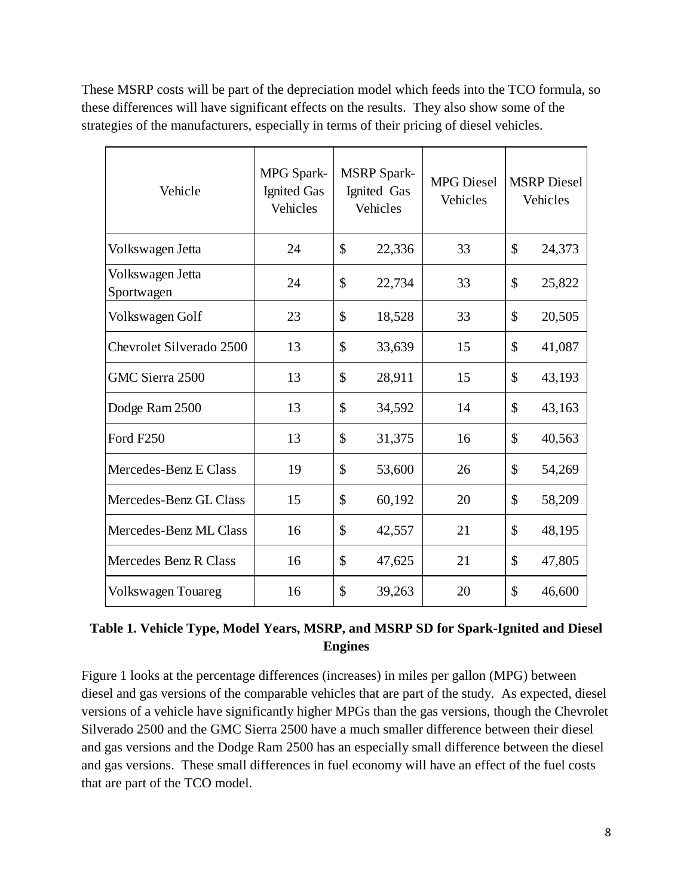These MSRP costs will be part of the depreciation model which feeds into the TCO formula, so these differences will have significant effects on the results. They also show some of the strategies of the manufacturers, especially in terms of their pricing of diesel vehicles.

| Vehicle                        | MPG Spark-<br><b>Ignited Gas</b><br>Vehicles | <b>MSRP</b> Spark-<br>Ignited Gas<br>Vehicles |        | <b>MPG</b> Diesel<br>Vehicles | <b>MSRP</b> Diesel<br>Vehicles |        |
|--------------------------------|----------------------------------------------|-----------------------------------------------|--------|-------------------------------|--------------------------------|--------|
| Volkswagen Jetta               | 24                                           | $\mathcal{S}$                                 | 22,336 | 33                            | \$                             | 24,373 |
| Volkswagen Jetta<br>Sportwagen | 24                                           | \$                                            | 22,734 | 33                            | \$                             | 25,822 |
| Volkswagen Golf                | 23                                           | \$                                            | 18,528 | 33                            | \$                             | 20,505 |
| Chevrolet Silverado 2500       | 13                                           | \$                                            | 33,639 | 15                            | \$                             | 41,087 |
| GMC Sierra 2500                | 13                                           | \$                                            | 28,911 | 15                            | \$                             | 43,193 |
| Dodge Ram 2500                 | 13                                           | \$                                            | 34,592 | 14                            | \$                             | 43,163 |
| Ford F250                      | 13                                           | \$                                            | 31,375 | 16                            | \$                             | 40,563 |
| Mercedes-Benz E Class          | 19                                           | \$                                            | 53,600 | 26                            | \$                             | 54,269 |
| Mercedes-Benz GL Class         | 15                                           | \$                                            | 60,192 | 20                            | \$                             | 58,209 |
| Mercedes-Benz ML Class         | 16                                           | \$                                            | 42,557 | 21                            | \$                             | 48,195 |
| Mercedes Benz R Class          | 16                                           | \$                                            | 47,625 | 21                            | \$                             | 47,805 |
| <b>Volkswagen Touareg</b>      | 16                                           | \$                                            | 39,263 | 20                            | \$                             | 46,600 |

### **Table 1. Vehicle Type, Model Years, MSRP, and MSRP SD for Spark-Ignited and Diesel Engines**

Figure 1 looks at the percentage differences (increases) in miles per gallon (MPG) between diesel and gas versions of the comparable vehicles that are part of the study. As expected, diesel versions of a vehicle have significantly higher MPGs than the gas versions, though the Chevrolet Silverado 2500 and the GMC Sierra 2500 have a much smaller difference between their diesel and gas versions and the Dodge Ram 2500 has an especially small difference between the diesel and gas versions. These small differences in fuel economy will have an effect of the fuel costs that are part of the TCO model.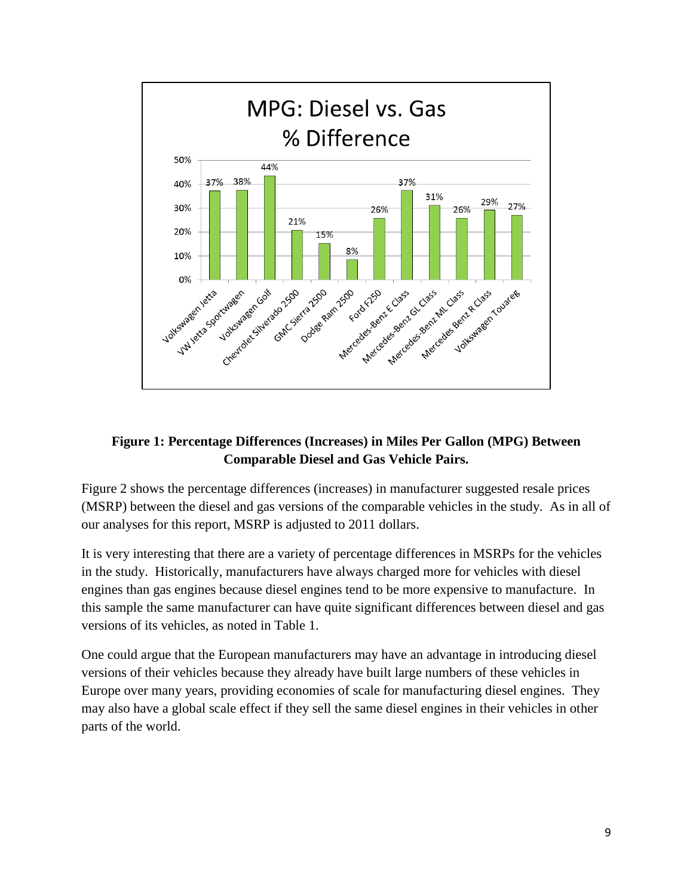

#### **Figure 1: Percentage Differences (Increases) in Miles Per Gallon (MPG) Between Comparable Diesel and Gas Vehicle Pairs.**

Figure 2 shows the percentage differences (increases) in manufacturer suggested resale prices (MSRP) between the diesel and gas versions of the comparable vehicles in the study. As in all of our analyses for this report, MSRP is adjusted to 2011 dollars.

It is very interesting that there are a variety of percentage differences in MSRPs for the vehicles in the study. Historically, manufacturers have always charged more for vehicles with diesel engines than gas engines because diesel engines tend to be more expensive to manufacture. In this sample the same manufacturer can have quite significant differences between diesel and gas versions of its vehicles, as noted in Table 1.

One could argue that the European manufacturers may have an advantage in introducing diesel versions of their vehicles because they already have built large numbers of these vehicles in Europe over many years, providing economies of scale for manufacturing diesel engines. They may also have a global scale effect if they sell the same diesel engines in their vehicles in other parts of the world.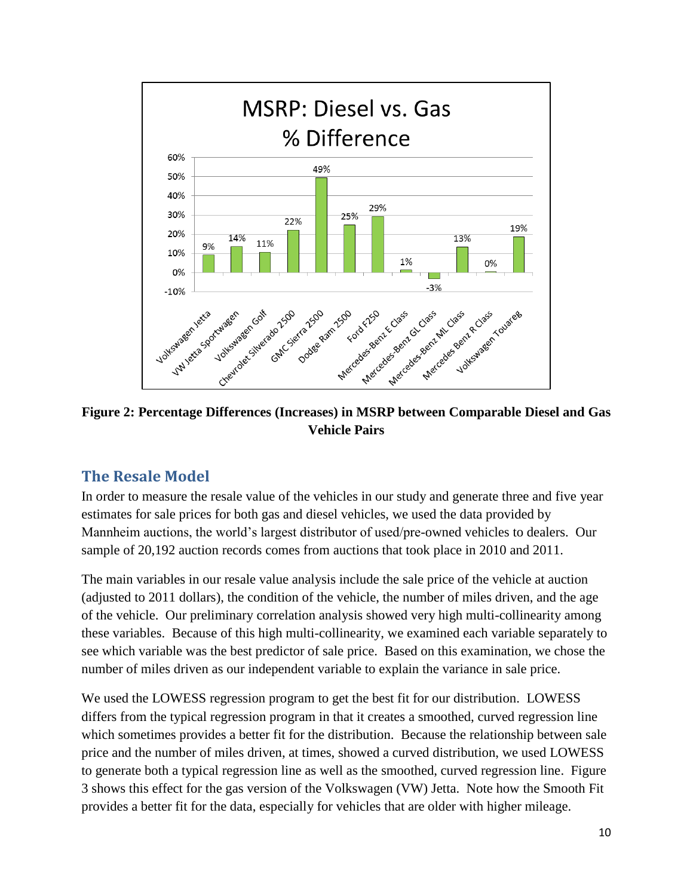

**Figure 2: Percentage Differences (Increases) in MSRP between Comparable Diesel and Gas Vehicle Pairs**

## <span id="page-9-0"></span>**The Resale Model**

In order to measure the resale value of the vehicles in our study and generate three and five year estimates for sale prices for both gas and diesel vehicles, we used the data provided by Mannheim auctions, the world's largest distributor of used/pre-owned vehicles to dealers. Our sample of 20,192 auction records comes from auctions that took place in 2010 and 2011.

The main variables in our resale value analysis include the sale price of the vehicle at auction (adjusted to 2011 dollars), the condition of the vehicle, the number of miles driven, and the age of the vehicle. Our preliminary correlation analysis showed very high multi-collinearity among these variables. Because of this high multi-collinearity, we examined each variable separately to see which variable was the best predictor of sale price. Based on this examination, we chose the number of miles driven as our independent variable to explain the variance in sale price.

We used the LOWESS regression program to get the best fit for our distribution. LOWESS differs from the typical regression program in that it creates a smoothed, curved regression line which sometimes provides a better fit for the distribution. Because the relationship between sale price and the number of miles driven, at times, showed a curved distribution, we used LOWESS to generate both a typical regression line as well as the smoothed, curved regression line. Figure 3 shows this effect for the gas version of the Volkswagen (VW) Jetta. Note how the Smooth Fit provides a better fit for the data, especially for vehicles that are older with higher mileage.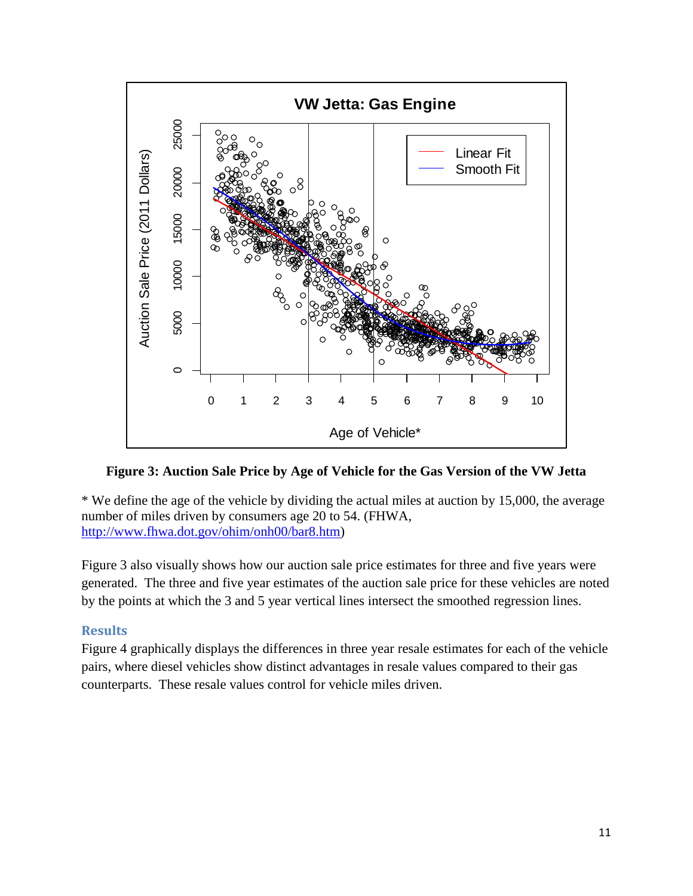

**Figure 3: Auction Sale Price by Age of Vehicle for the Gas Version of the VW Jetta**

\* We define the age of the vehicle by dividing the actual miles at auction by 15,000, the average number of miles driven by consumers age 20 to 54. (FHWA, [http://www.fhwa.dot.gov/ohim/onh00/bar8.htm\)](http://www.fhwa.dot.gov/ohim/onh00/bar8.htm)

Figure 3 also visually shows how our auction sale price estimates for three and five years were generated. The three and five year estimates of the auction sale price for these vehicles are noted by the points at which the 3 and 5 year vertical lines intersect the smoothed regression lines.

#### <span id="page-10-0"></span>**Results**

Figure 4 graphically displays the differences in three year resale estimates for each of the vehicle pairs, where diesel vehicles show distinct advantages in resale values compared to their gas counterparts. These resale values control for vehicle miles driven.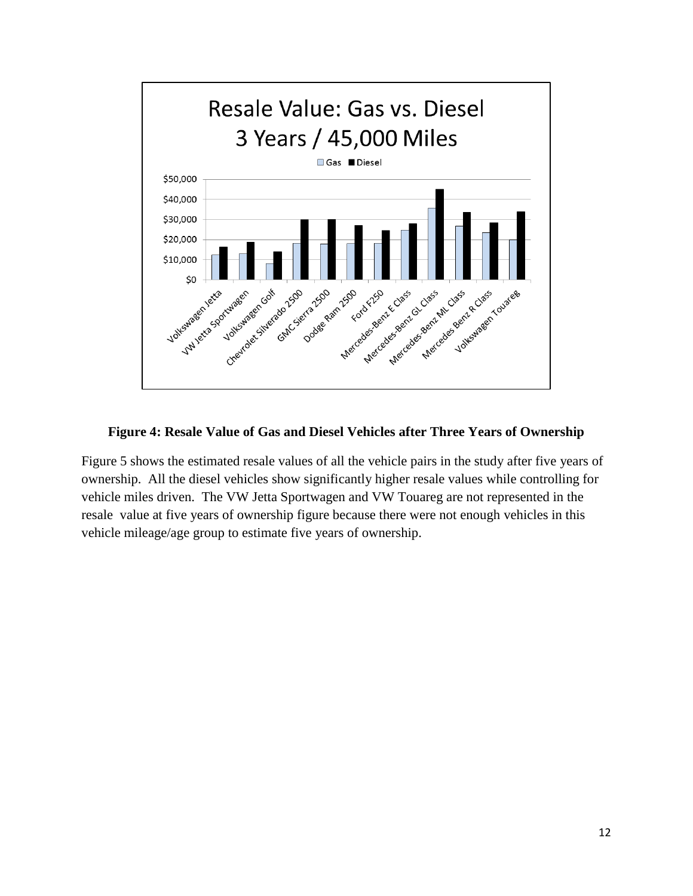

#### **Figure 4: Resale Value of Gas and Diesel Vehicles after Three Years of Ownership**

Figure 5 shows the estimated resale values of all the vehicle pairs in the study after five years of ownership. All the diesel vehicles show significantly higher resale values while controlling for vehicle miles driven. The VW Jetta Sportwagen and VW Touareg are not represented in the resale value at five years of ownership figure because there were not enough vehicles in this vehicle mileage/age group to estimate five years of ownership.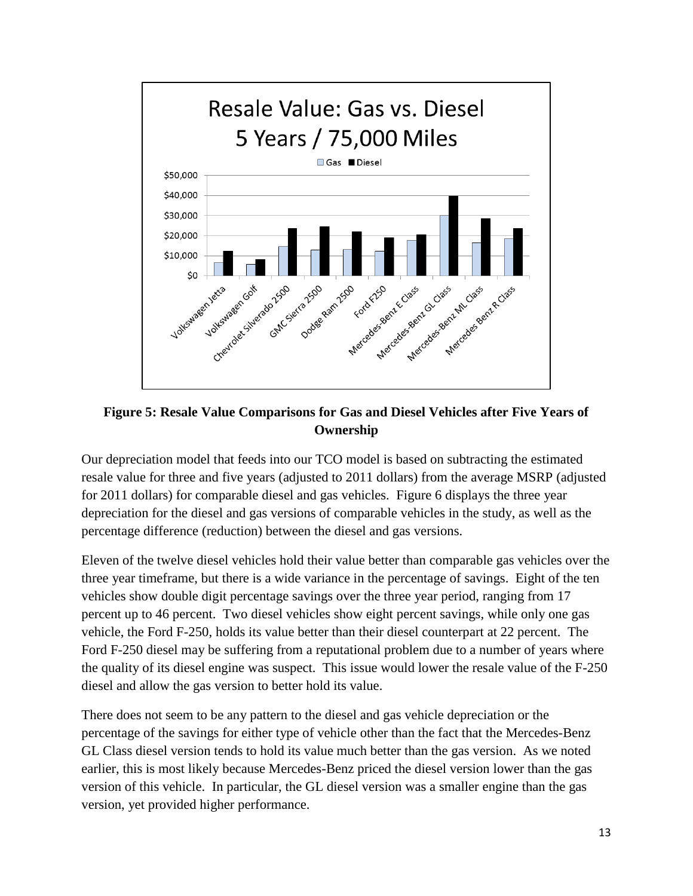

**Figure 5: Resale Value Comparisons for Gas and Diesel Vehicles after Five Years of Ownership**

Our depreciation model that feeds into our TCO model is based on subtracting the estimated resale value for three and five years (adjusted to 2011 dollars) from the average MSRP (adjusted for 2011 dollars) for comparable diesel and gas vehicles. Figure 6 displays the three year depreciation for the diesel and gas versions of comparable vehicles in the study, as well as the percentage difference (reduction) between the diesel and gas versions.

Eleven of the twelve diesel vehicles hold their value better than comparable gas vehicles over the three year timeframe, but there is a wide variance in the percentage of savings. Eight of the ten vehicles show double digit percentage savings over the three year period, ranging from 17 percent up to 46 percent. Two diesel vehicles show eight percent savings, while only one gas vehicle, the Ford F-250, holds its value better than their diesel counterpart at 22 percent. The Ford F-250 diesel may be suffering from a reputational problem due to a number of years where the quality of its diesel engine was suspect. This issue would lower the resale value of the F-250 diesel and allow the gas version to better hold its value.

There does not seem to be any pattern to the diesel and gas vehicle depreciation or the percentage of the savings for either type of vehicle other than the fact that the Mercedes-Benz GL Class diesel version tends to hold its value much better than the gas version. As we noted earlier, this is most likely because Mercedes-Benz priced the diesel version lower than the gas version of this vehicle. In particular, the GL diesel version was a smaller engine than the gas version, yet provided higher performance.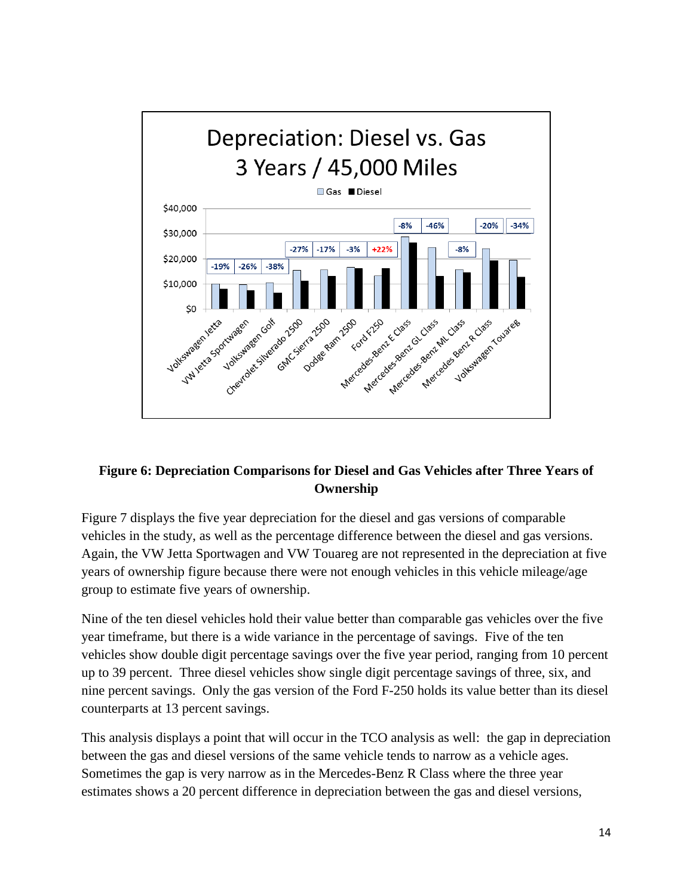

#### **Figure 6: Depreciation Comparisons for Diesel and Gas Vehicles after Three Years of Ownership**

Figure 7 displays the five year depreciation for the diesel and gas versions of comparable vehicles in the study, as well as the percentage difference between the diesel and gas versions. Again, the VW Jetta Sportwagen and VW Touareg are not represented in the depreciation at five years of ownership figure because there were not enough vehicles in this vehicle mileage/age group to estimate five years of ownership.

Nine of the ten diesel vehicles hold their value better than comparable gas vehicles over the five year timeframe, but there is a wide variance in the percentage of savings. Five of the ten vehicles show double digit percentage savings over the five year period, ranging from 10 percent up to 39 percent. Three diesel vehicles show single digit percentage savings of three, six, and nine percent savings. Only the gas version of the Ford F-250 holds its value better than its diesel counterparts at 13 percent savings.

This analysis displays a point that will occur in the TCO analysis as well: the gap in depreciation between the gas and diesel versions of the same vehicle tends to narrow as a vehicle ages. Sometimes the gap is very narrow as in the Mercedes-Benz R Class where the three year estimates shows a 20 percent difference in depreciation between the gas and diesel versions,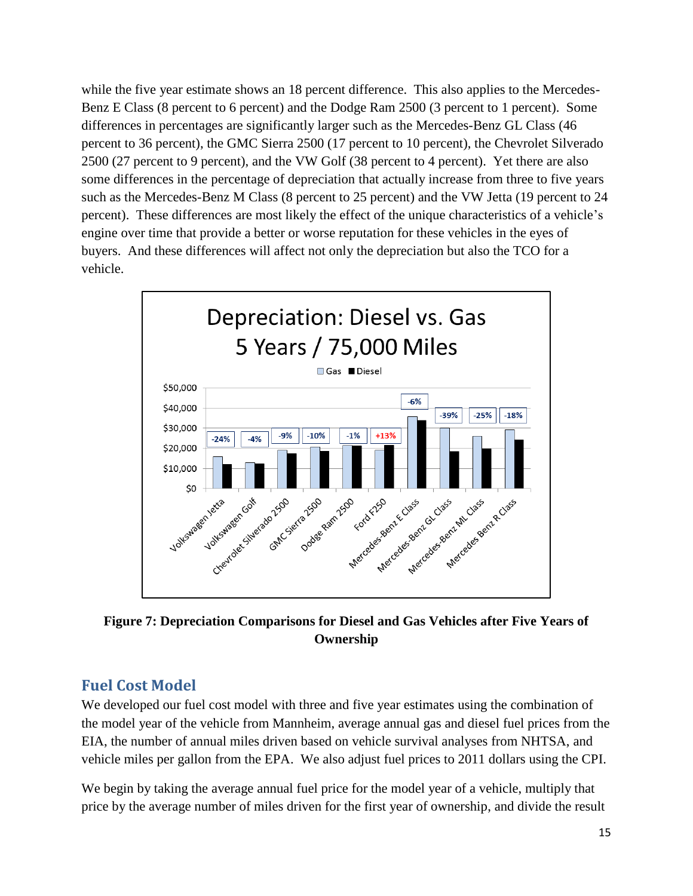while the five year estimate shows an 18 percent difference. This also applies to the Mercedes-Benz E Class (8 percent to 6 percent) and the Dodge Ram 2500 (3 percent to 1 percent). Some differences in percentages are significantly larger such as the Mercedes-Benz GL Class (46 percent to 36 percent), the GMC Sierra 2500 (17 percent to 10 percent), the Chevrolet Silverado 2500 (27 percent to 9 percent), and the VW Golf (38 percent to 4 percent). Yet there are also some differences in the percentage of depreciation that actually increase from three to five years such as the Mercedes-Benz M Class (8 percent to 25 percent) and the VW Jetta (19 percent to 24 percent). These differences are most likely the effect of the unique characteristics of a vehicle's engine over time that provide a better or worse reputation for these vehicles in the eyes of buyers. And these differences will affect not only the depreciation but also the TCO for a vehicle.



**Figure 7: Depreciation Comparisons for Diesel and Gas Vehicles after Five Years of Ownership**

## <span id="page-14-0"></span>**Fuel Cost Model**

We developed our fuel cost model with three and five year estimates using the combination of the model year of the vehicle from Mannheim, average annual gas and diesel fuel prices from the EIA, the number of annual miles driven based on vehicle survival analyses from NHTSA, and vehicle miles per gallon from the EPA. We also adjust fuel prices to 2011 dollars using the CPI.

We begin by taking the average annual fuel price for the model year of a vehicle, multiply that price by the average number of miles driven for the first year of ownership, and divide the result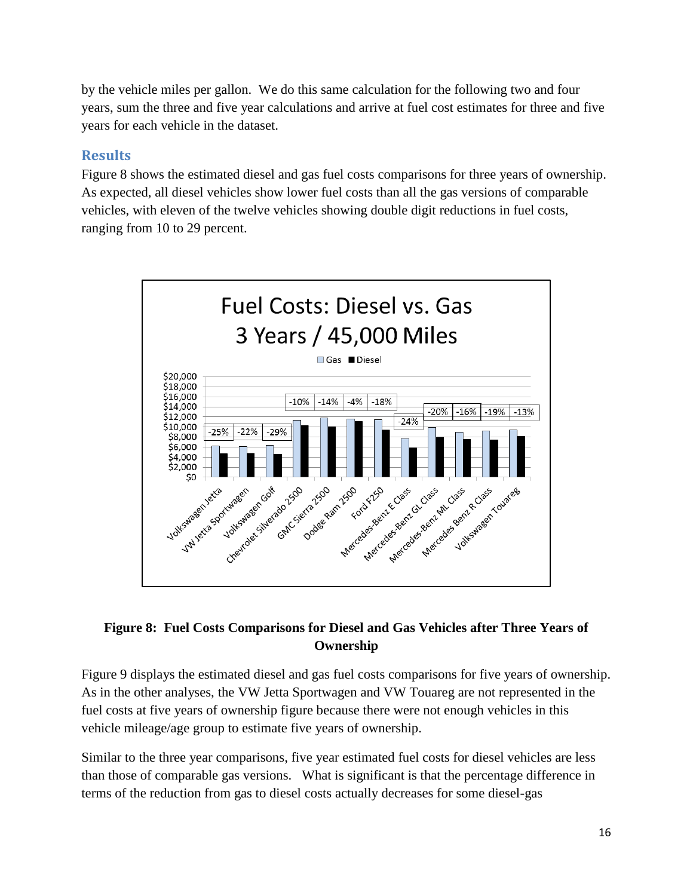by the vehicle miles per gallon. We do this same calculation for the following two and four years, sum the three and five year calculations and arrive at fuel cost estimates for three and five years for each vehicle in the dataset.

### <span id="page-15-0"></span>**Results**

Figure 8 shows the estimated diesel and gas fuel costs comparisons for three years of ownership. As expected, all diesel vehicles show lower fuel costs than all the gas versions of comparable vehicles, with eleven of the twelve vehicles showing double digit reductions in fuel costs, ranging from 10 to 29 percent.



#### **Figure 8: Fuel Costs Comparisons for Diesel and Gas Vehicles after Three Years of Ownership**

Figure 9 displays the estimated diesel and gas fuel costs comparisons for five years of ownership. As in the other analyses, the VW Jetta Sportwagen and VW Touareg are not represented in the fuel costs at five years of ownership figure because there were not enough vehicles in this vehicle mileage/age group to estimate five years of ownership.

Similar to the three year comparisons, five year estimated fuel costs for diesel vehicles are less than those of comparable gas versions. What is significant is that the percentage difference in terms of the reduction from gas to diesel costs actually decreases for some diesel-gas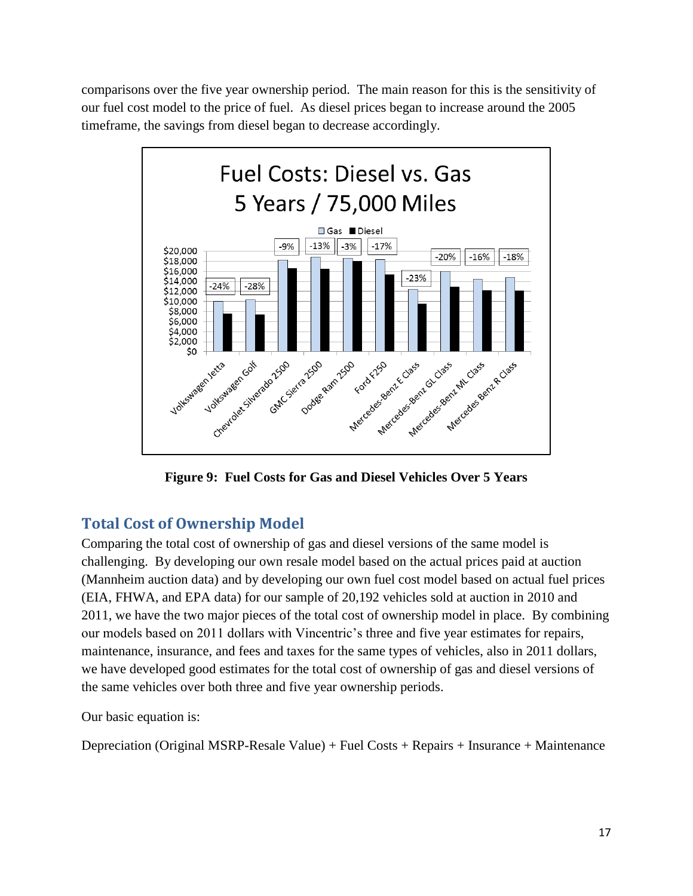comparisons over the five year ownership period. The main reason for this is the sensitivity of our fuel cost model to the price of fuel. As diesel prices began to increase around the 2005 timeframe, the savings from diesel began to decrease accordingly.



**Figure 9: Fuel Costs for Gas and Diesel Vehicles Over 5 Years**

## <span id="page-16-0"></span>**Total Cost of Ownership Model**

Comparing the total cost of ownership of gas and diesel versions of the same model is challenging. By developing our own resale model based on the actual prices paid at auction (Mannheim auction data) and by developing our own fuel cost model based on actual fuel prices (EIA, FHWA, and EPA data) for our sample of 20,192 vehicles sold at auction in 2010 and 2011, we have the two major pieces of the total cost of ownership model in place. By combining our models based on 2011 dollars with Vincentric's three and five year estimates for repairs, maintenance, insurance, and fees and taxes for the same types of vehicles, also in 2011 dollars, we have developed good estimates for the total cost of ownership of gas and diesel versions of the same vehicles over both three and five year ownership periods.

Our basic equation is:

Depreciation (Original MSRP-Resale Value) + Fuel Costs + Repairs + Insurance + Maintenance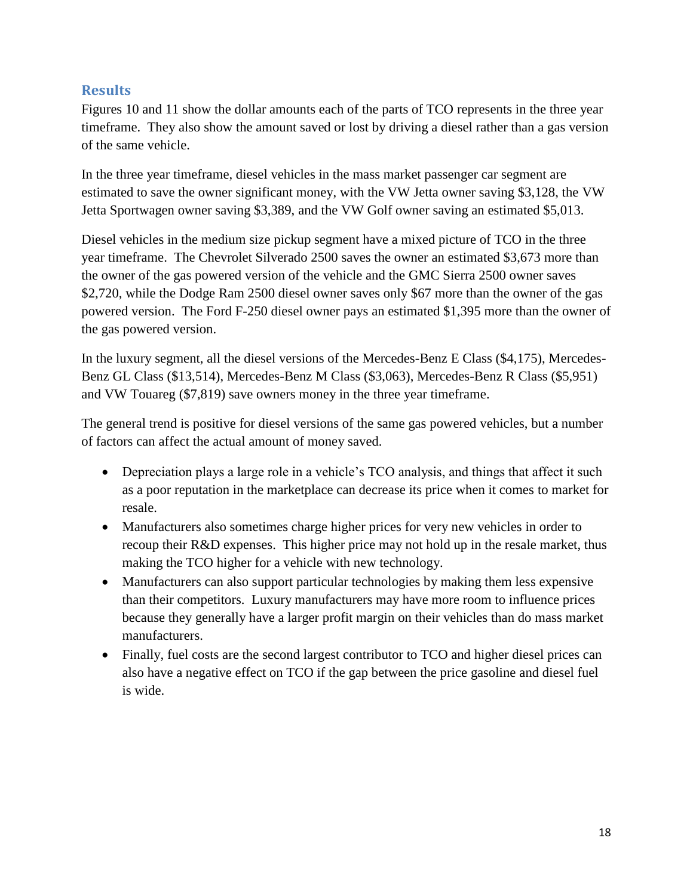#### <span id="page-17-0"></span>**Results**

Figures 10 and 11 show the dollar amounts each of the parts of TCO represents in the three year timeframe. They also show the amount saved or lost by driving a diesel rather than a gas version of the same vehicle.

In the three year timeframe, diesel vehicles in the mass market passenger car segment are estimated to save the owner significant money, with the VW Jetta owner saving \$3,128, the VW Jetta Sportwagen owner saving \$3,389, and the VW Golf owner saving an estimated \$5,013.

Diesel vehicles in the medium size pickup segment have a mixed picture of TCO in the three year timeframe. The Chevrolet Silverado 2500 saves the owner an estimated \$3,673 more than the owner of the gas powered version of the vehicle and the GMC Sierra 2500 owner saves \$2,720, while the Dodge Ram 2500 diesel owner saves only \$67 more than the owner of the gas powered version. The Ford F-250 diesel owner pays an estimated \$1,395 more than the owner of the gas powered version.

In the luxury segment, all the diesel versions of the Mercedes-Benz E Class (\$4,175), Mercedes-Benz GL Class (\$13,514), Mercedes-Benz M Class (\$3,063), Mercedes-Benz R Class (\$5,951) and VW Touareg (\$7,819) save owners money in the three year timeframe.

The general trend is positive for diesel versions of the same gas powered vehicles, but a number of factors can affect the actual amount of money saved.

- Depreciation plays a large role in a vehicle's TCO analysis, and things that affect it such as a poor reputation in the marketplace can decrease its price when it comes to market for resale.
- Manufacturers also sometimes charge higher prices for very new vehicles in order to recoup their R&D expenses. This higher price may not hold up in the resale market, thus making the TCO higher for a vehicle with new technology.
- Manufacturers can also support particular technologies by making them less expensive than their competitors. Luxury manufacturers may have more room to influence prices because they generally have a larger profit margin on their vehicles than do mass market manufacturers.
- Finally, fuel costs are the second largest contributor to TCO and higher diesel prices can also have a negative effect on TCO if the gap between the price gasoline and diesel fuel is wide.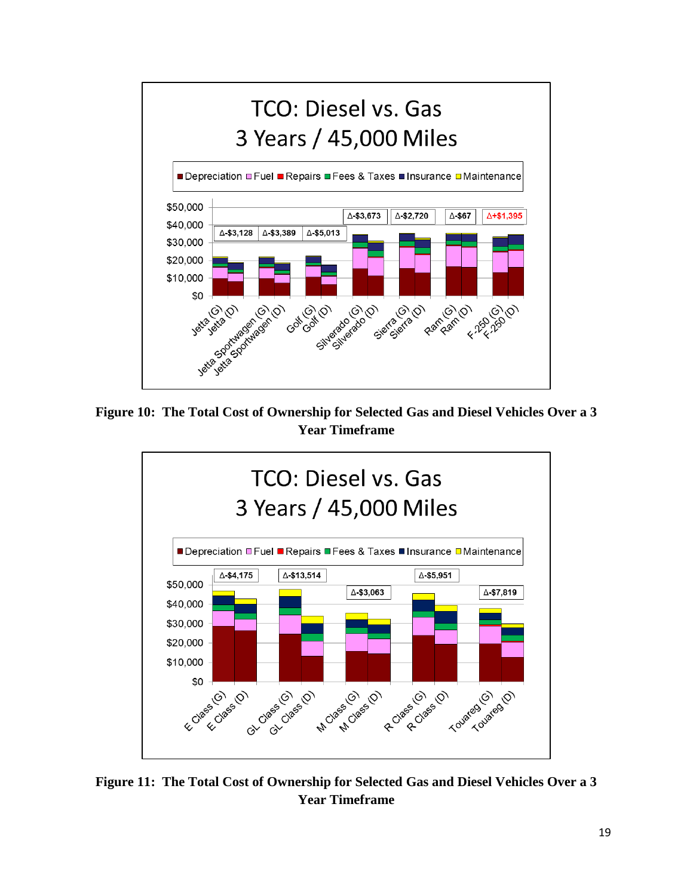

**Figure 10: The Total Cost of Ownership for Selected Gas and Diesel Vehicles Over a 3 Year Timeframe**



**Figure 11: The Total Cost of Ownership for Selected Gas and Diesel Vehicles Over a 3 Year Timeframe**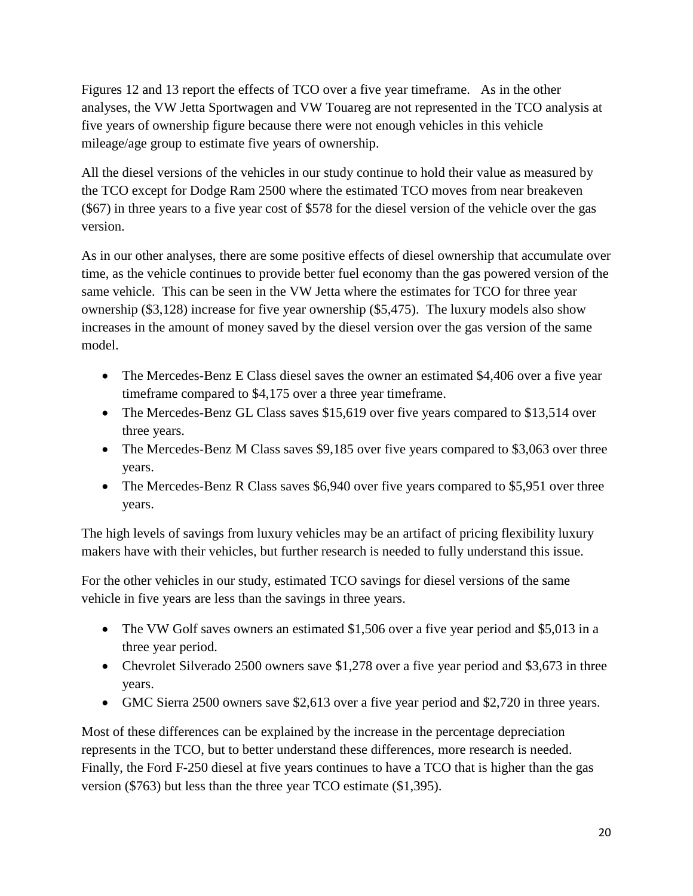Figures 12 and 13 report the effects of TCO over a five year timeframe. As in the other analyses, the VW Jetta Sportwagen and VW Touareg are not represented in the TCO analysis at five years of ownership figure because there were not enough vehicles in this vehicle mileage/age group to estimate five years of ownership.

All the diesel versions of the vehicles in our study continue to hold their value as measured by the TCO except for Dodge Ram 2500 where the estimated TCO moves from near breakeven (\$67) in three years to a five year cost of \$578 for the diesel version of the vehicle over the gas version.

As in our other analyses, there are some positive effects of diesel ownership that accumulate over time, as the vehicle continues to provide better fuel economy than the gas powered version of the same vehicle. This can be seen in the VW Jetta where the estimates for TCO for three year ownership (\$3,128) increase for five year ownership (\$5,475). The luxury models also show increases in the amount of money saved by the diesel version over the gas version of the same model.

- The Mercedes-Benz E Class diesel saves the owner an estimated \$4,406 over a five year timeframe compared to \$4,175 over a three year timeframe.
- The Mercedes-Benz GL Class saves \$15,619 over five years compared to \$13,514 over three years.
- The Mercedes-Benz M Class saves \$9,185 over five years compared to \$3,063 over three years.
- The Mercedes-Benz R Class saves \$6,940 over five years compared to \$5,951 over three years.

The high levels of savings from luxury vehicles may be an artifact of pricing flexibility luxury makers have with their vehicles, but further research is needed to fully understand this issue.

For the other vehicles in our study, estimated TCO savings for diesel versions of the same vehicle in five years are less than the savings in three years.

- The VW Golf saves owners an estimated \$1,506 over a five year period and \$5,013 in a three year period.
- Chevrolet Silverado 2500 owners save \$1,278 over a five year period and \$3,673 in three years.
- GMC Sierra 2500 owners save \$2,613 over a five year period and \$2,720 in three years.

Most of these differences can be explained by the increase in the percentage depreciation represents in the TCO, but to better understand these differences, more research is needed. Finally, the Ford F-250 diesel at five years continues to have a TCO that is higher than the gas version (\$763) but less than the three year TCO estimate (\$1,395).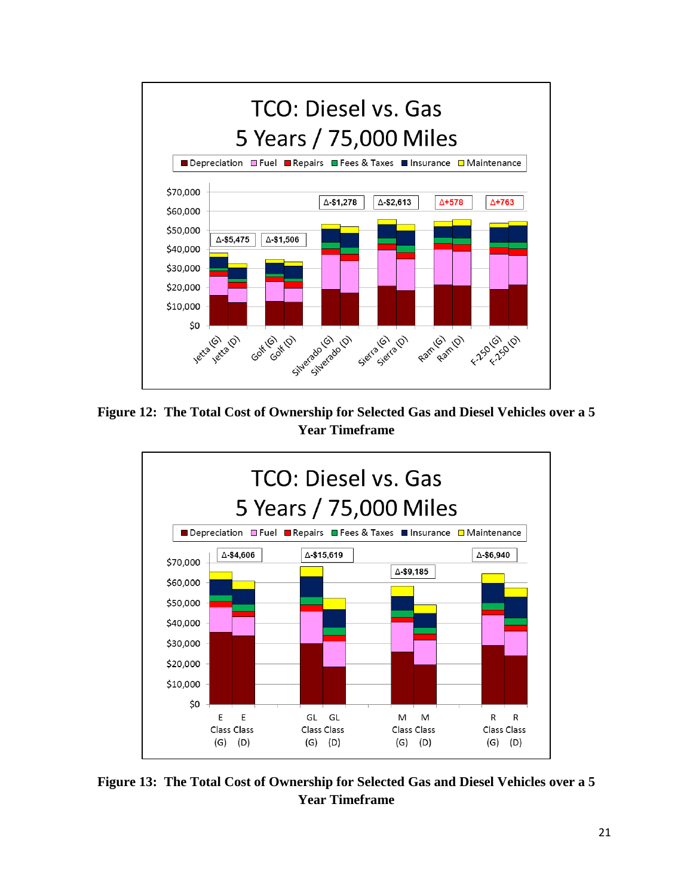

**Figure 12: The Total Cost of Ownership for Selected Gas and Diesel Vehicles over a 5 Year Timeframe**



**Figure 13: The Total Cost of Ownership for Selected Gas and Diesel Vehicles over a 5 Year Timeframe**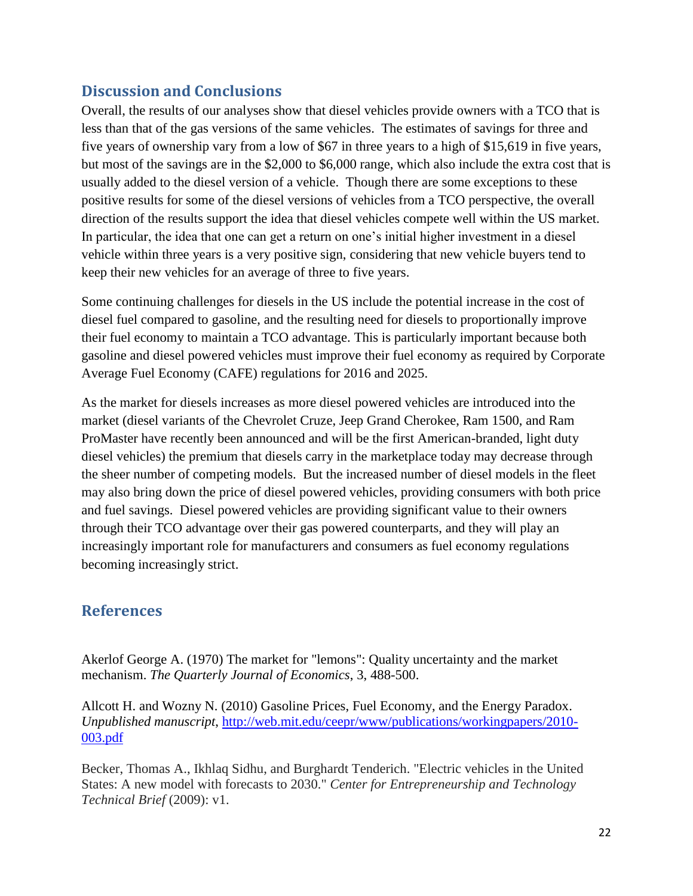## <span id="page-21-0"></span>**Discussion and Conclusions**

Overall, the results of our analyses show that diesel vehicles provide owners with a TCO that is less than that of the gas versions of the same vehicles. The estimates of savings for three and five years of ownership vary from a low of \$67 in three years to a high of \$15,619 in five years, but most of the savings are in the \$2,000 to \$6,000 range, which also include the extra cost that is usually added to the diesel version of a vehicle. Though there are some exceptions to these positive results for some of the diesel versions of vehicles from a TCO perspective, the overall direction of the results support the idea that diesel vehicles compete well within the US market. In particular, the idea that one can get a return on one's initial higher investment in a diesel vehicle within three years is a very positive sign, considering that new vehicle buyers tend to keep their new vehicles for an average of three to five years.

Some continuing challenges for diesels in the US include the potential increase in the cost of diesel fuel compared to gasoline, and the resulting need for diesels to proportionally improve their fuel economy to maintain a TCO advantage. This is particularly important because both gasoline and diesel powered vehicles must improve their fuel economy as required by Corporate Average Fuel Economy (CAFE) regulations for 2016 and 2025.

As the market for diesels increases as more diesel powered vehicles are introduced into the market (diesel variants of the Chevrolet Cruze, Jeep Grand Cherokee, Ram 1500, and Ram ProMaster have recently been announced and will be the first American-branded, light duty diesel vehicles) the premium that diesels carry in the marketplace today may decrease through the sheer number of competing models. But the increased number of diesel models in the fleet may also bring down the price of diesel powered vehicles, providing consumers with both price and fuel savings. Diesel powered vehicles are providing significant value to their owners through their TCO advantage over their gas powered counterparts, and they will play an increasingly important role for manufacturers and consumers as fuel economy regulations becoming increasingly strict.

## <span id="page-21-1"></span>**References**

Akerlof George A. (1970) The market for "lemons": Quality uncertainty and the market mechanism. *The Quarterly Journal of Economics*, 3, 488-500.

Allcott H. and Wozny N. (2010) Gasoline Prices, Fuel Economy, and the Energy Paradox. *Unpublished manuscript*, [http://web.mit.edu/ceepr/www/publications/workingpapers/2010-](http://web.mit.edu/ceepr/www/publications/workingpapers/2010-003.pdf) [003.pdf](http://web.mit.edu/ceepr/www/publications/workingpapers/2010-003.pdf)

Becker, Thomas A., Ikhlaq Sidhu, and Burghardt Tenderich. "Electric vehicles in the United States: A new model with forecasts to 2030." *Center for Entrepreneurship and Technology Technical Brief* (2009): v1.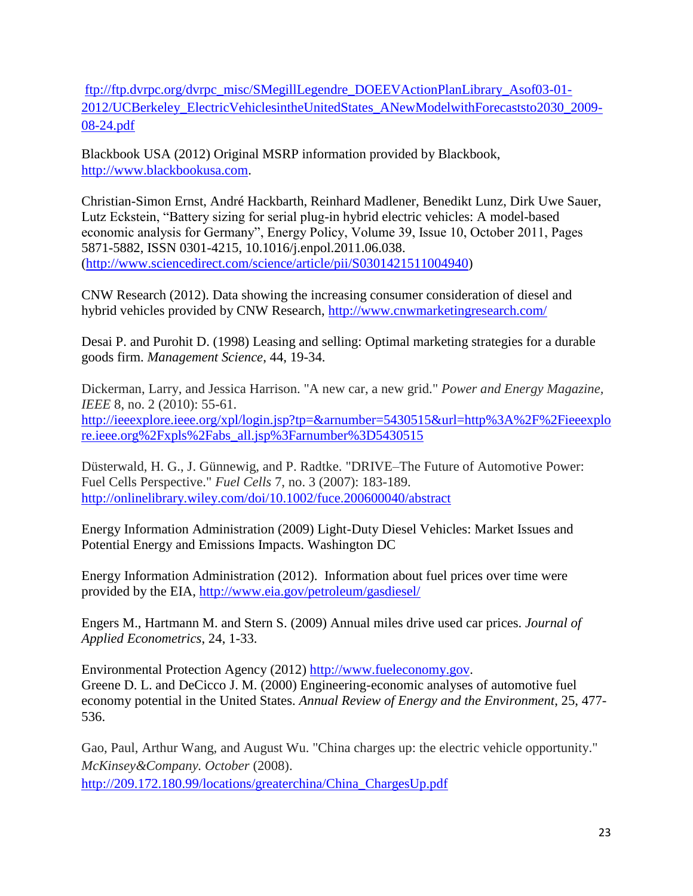[ftp://ftp.dvrpc.org/dvrpc\\_misc/SMegillLegendre\\_DOEEVActionPlanLibrary\\_Asof03-01-](ftp://ftp.dvrpc.org/dvrpc_misc/SMegillLegendre_DOEEVActionPlanLibrary_Asof03-01-2012/UCBerkeley_ElectricVehiclesintheUnitedStates_ANewModelwithForecaststo2030_2009-08-24.pdf) [2012/UCBerkeley\\_ElectricVehiclesintheUnitedStates\\_ANewModelwithForecaststo2030\\_2009-](ftp://ftp.dvrpc.org/dvrpc_misc/SMegillLegendre_DOEEVActionPlanLibrary_Asof03-01-2012/UCBerkeley_ElectricVehiclesintheUnitedStates_ANewModelwithForecaststo2030_2009-08-24.pdf) [08-24.pdf](ftp://ftp.dvrpc.org/dvrpc_misc/SMegillLegendre_DOEEVActionPlanLibrary_Asof03-01-2012/UCBerkeley_ElectricVehiclesintheUnitedStates_ANewModelwithForecaststo2030_2009-08-24.pdf)

Blackbook USA (2012) Original MSRP information provided by Blackbook, [http://www.blackbookusa.com.](http://www.blackbookusa.com/)

Christian-Simon Ernst, André Hackbarth, Reinhard Madlener, Benedikt Lunz, Dirk Uwe Sauer, Lutz Eckstein, "Battery sizing for serial plug-in hybrid electric vehicles: A model-based economic analysis for Germany", Energy Policy, Volume 39, Issue 10, October 2011, Pages 5871-5882, ISSN 0301-4215, 10.1016/j.enpol.2011.06.038. [\(http://www.sciencedirect.com/science/article/pii/S0301421511004940\)](http://www.sciencedirect.com/science/article/pii/S0301421511004940)

CNW Research (2012). Data showing the increasing consumer consideration of diesel and hybrid vehicles provided by CNW Research,<http://www.cnwmarketingresearch.com/>

Desai P. and Purohit D. (1998) Leasing and selling: Optimal marketing strategies for a durable goods firm. *Management Science*, 44, 19-34.

Dickerman, Larry, and Jessica Harrison. "A new car, a new grid." *Power and Energy Magazine, IEEE* 8, no. 2 (2010): 55-61. [http://ieeexplore.ieee.org/xpl/login.jsp?tp=&arnumber=5430515&url=http%3A%2F%2Fieeexplo](http://ieeexplore.ieee.org/xpl/login.jsp?tp=&arnumber=5430515&url=http%3A%2F%2Fieeexplore.ieee.org%2Fxpls%2Fabs_all.jsp%3Farnumber%3D5430515) [re.ieee.org%2Fxpls%2Fabs\\_all.jsp%3Farnumber%3D5430515](http://ieeexplore.ieee.org/xpl/login.jsp?tp=&arnumber=5430515&url=http%3A%2F%2Fieeexplore.ieee.org%2Fxpls%2Fabs_all.jsp%3Farnumber%3D5430515)

Düsterwald, H. G., J. Günnewig, and P. Radtke. "DRIVE–The Future of Automotive Power: Fuel Cells Perspective." *Fuel Cells* 7, no. 3 (2007): 183-189. <http://onlinelibrary.wiley.com/doi/10.1002/fuce.200600040/abstract>

Energy Information Administration (2009) Light-Duty Diesel Vehicles: Market Issues and Potential Energy and Emissions Impacts. Washington DC

Energy Information Administration (2012). Information about fuel prices over time were provided by the EIA,<http://www.eia.gov/petroleum/gasdiesel/>

Engers M., Hartmann M. and Stern S. (2009) Annual miles drive used car prices. *Journal of Applied Econometrics*, 24, 1-33.

Environmental Protection Agency (2012) [http://www.fueleconomy.gov.](http://www.fueleconomy.gov/) Greene D. L. and DeCicco J. M. (2000) Engineering-economic analyses of automotive fuel economy potential in the United States. *Annual Review of Energy and the Environment*, 25, 477- 536.

Gao, Paul, Arthur Wang, and August Wu. "China charges up: the electric vehicle opportunity." *McKinsey&Company. October* (2008). [http://209.172.180.99/locations/greaterchina/China\\_ChargesUp.pdf](http://209.172.180.99/locations/greaterchina/China_ChargesUp.pdf)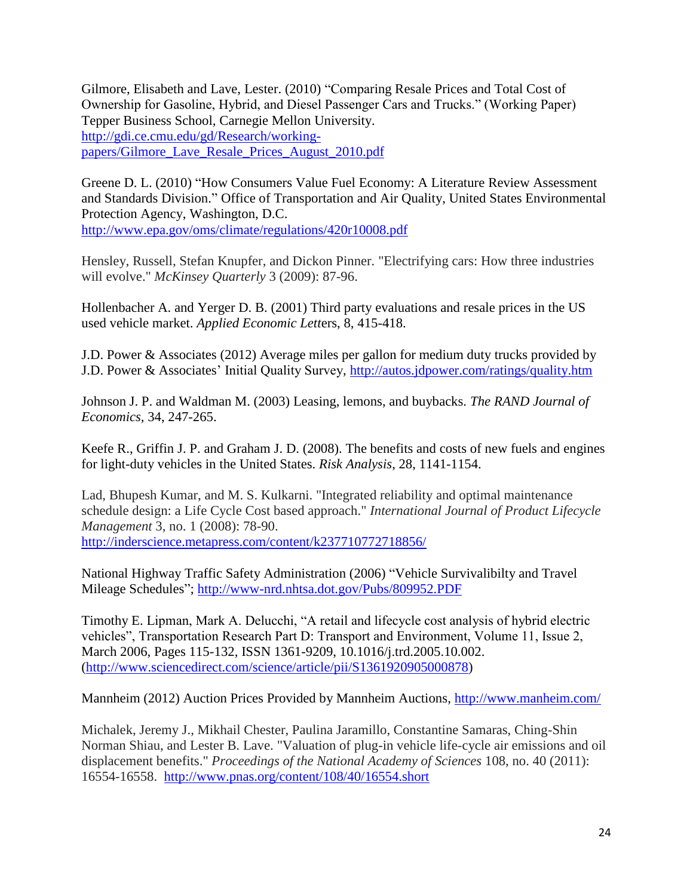Gilmore, Elisabeth and Lave, Lester. (2010) "Comparing Resale Prices and Total Cost of Ownership for Gasoline, Hybrid, and Diesel Passenger Cars and Trucks." (Working Paper) Tepper Business School, Carnegie Mellon University. [http://gdi.ce.cmu.edu/gd/Research/working](http://gdi.ce.cmu.edu/gd/Research/working-papers/Gilmore_Lave_Resale_Prices_August_2010.pdf)[papers/Gilmore\\_Lave\\_Resale\\_Prices\\_August\\_2010.pdf](http://gdi.ce.cmu.edu/gd/Research/working-papers/Gilmore_Lave_Resale_Prices_August_2010.pdf)

Greene D. L. (2010) "How Consumers Value Fuel Economy: A Literature Review Assessment and Standards Division." Office of Transportation and Air Quality, United States Environmental Protection Agency, Washington, D.C. <http://www.epa.gov/oms/climate/regulations/420r10008.pdf>

Hensley, Russell, Stefan Knupfer, and Dickon Pinner. "Electrifying cars: How three industries will evolve." *McKinsey Quarterly* 3 (2009): 87-96.

Hollenbacher A. and Yerger D. B. (2001) Third party evaluations and resale prices in the US used vehicle market. *Applied Economic Lett*ers, 8, 415-418.

J.D. Power & Associates (2012) Average miles per gallon for medium duty trucks provided by J.D. Power & Associates' Initial Quality Survey,<http://autos.jdpower.com/ratings/quality.htm>

Johnson J. P. and Waldman M. (2003) Leasing, lemons, and buybacks. *The RAND Journal of Economics*, 34, 247-265.

Keefe R., Griffin J. P. and Graham J. D. (2008). The benefits and costs of new fuels and engines for light-duty vehicles in the United States. *Risk Analysis*, 28, 1141-1154.

Lad, Bhupesh Kumar, and M. S. Kulkarni. "Integrated reliability and optimal maintenance schedule design: a Life Cycle Cost based approach." *International Journal of Product Lifecycle Management* 3, no. 1 (2008): 78-90. <http://inderscience.metapress.com/content/k237710772718856/>

National Highway Traffic Safety Administration (2006) "Vehicle Survivalibilty and Travel Mileage Schedules";<http://www-nrd.nhtsa.dot.gov/Pubs/809952.PDF>

Timothy E. Lipman, Mark A. Delucchi, "A retail and lifecycle cost analysis of hybrid electric vehicles", Transportation Research Part D: Transport and Environment, Volume 11, Issue 2, March 2006, Pages 115-132, ISSN 1361-9209, 10.1016/j.trd.2005.10.002. [\(http://www.sciencedirect.com/science/article/pii/S1361920905000878\)](http://www.sciencedirect.com/science/article/pii/S1361920905000878)

Mannheim (2012) Auction Prices Provided by Mannheim Auctions,<http://www.manheim.com/>

Michalek, Jeremy J., Mikhail Chester, Paulina Jaramillo, Constantine Samaras, Ching-Shin Norman Shiau, and Lester B. Lave. "Valuation of plug-in vehicle life-cycle air emissions and oil displacement benefits." *Proceedings of the National Academy of Sciences* 108, no. 40 (2011): 16554-16558. <http://www.pnas.org/content/108/40/16554.short>